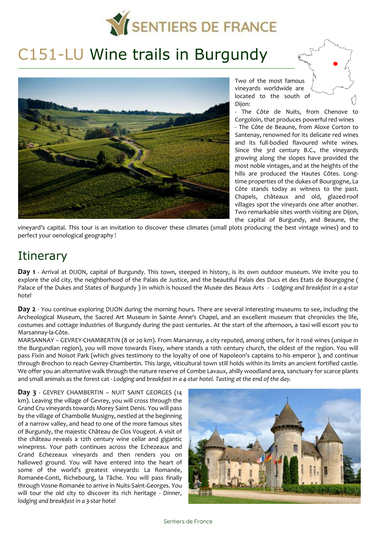

# C151-LU Wine trails in Burgundy



Two of the most famous vineyards worldwide are located to the south of Dijon:

- The Côte de Nuits, from Chenove to Corgoloin, that produces powerful red wines - The Côte de Beaune, from Aloxe Corton to Santenay, renowned for its delicate red wines and its full-bodied flavoured white wines. Since the 3rd century B.C., the vineyards growing along the slopes have provided the most noble vintages, and at the heights of the hills are produced the Hautes Côtes. Longtime properties of the dukes of Bourgogne, La Côte stands today as witness to the past. Chapels, châteaux and old, glazed-roof villages spot the vineyards one after another. Two remarkable sites worth visiting are Dijon, the capital of Burgundy, and Beaune, the

vineyard's capital. This tour is an invitation to discover these climates (small plots producing the best vintage wines) and to perfect your oenological geography !

# **Itinerary**

**Day 1** - Arrival at DIJON, capital of Burgundy. This town, steeped in history, is its own outdoor museum. We invite you to explore the old city, the neighborhood of the Palais de Justice, and the beautiful Palais des Ducs et des Etats de Bourgogne ( Palace of the Dukes and States of Burgundy ) in which is housed the Musée des Beaux Arts - *Lodging and breakfast in a 4-star hotel* 

**Day 2** - You continue exploring DIJON during the morning hours. There are several interesting museums to see, including the Archeological Museum, the Sacred Art Museum in Sainte Anne's Chapel, and an excellent museum that chronicles the life, costumes and cottage industries of Burgundy during the past centuries. At the start of the afternoon, a taxi will escort you to Marsannay-la-Côte.

MARSANNAY – GEVREY-CHAMBERTIN (8 or 20 km). From Marsannay, a city reputed, among others, for it rosé wines (unique in the Burgundian region), you will move towards Fixey, where stands a 10th century church, the oldest of the region. You will pass Fixin and Noisot Park (which gives testimony to the loyalty of one of Napoleon's captains to his emperor ), and continue through Brochon to reach Gevrey-Chambertin. This large, viticultural town still holds within its limits an ancient fortified castle. We offer you an alternative walk through the nature reserve of Combe Layaux, ahilly woodland area, sanctuary for scarce plants and small animals as the forest cat - *Lodging and breakfast in a 4-star hotel. Tasting at the end of the day.* 

**Day 3** - GEVREY CHAMBERTIN – NUIT SAINT GEORGES (14 km). Leaving the village of Gevrey, you will cross through the Grand Cru vineyards towards Morey Saint Denis. You will pass by the village of Chambolle Musigny, nestled at the beginning of a narrow valley, and head to one of the more famous sites of Burgundy, the majestic Château de Clos Vougeot. A visit of the château reveals a 12th century wine cellar and gigantic winepress. Your path continues across the Echezeaux and Grand Echezeaux vineyards and then renders you on hallowed ground. You will have entered into the heart of some of the world's greatest vineyards: La Romanée, Romanée-Conti, Richebourg, la Tâche. You will pass finally through Vosne-Romanée to arrive in Nuits-Saint-Georges. You will tour the old city to discover its rich heritage - *Dinner, lodging and breakfast in a 3-star hotel*

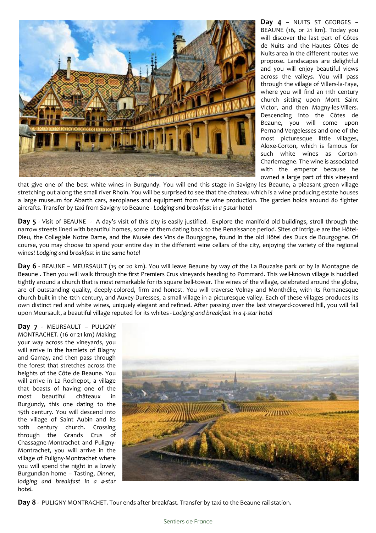

**Day 4** – NUITS ST GEORGES – BEAUNE (16, or 21 km). Today you will discover the last part of Côtes de Nuits and the Hautes Côtes de Nuits area in the different routes we propose. Landscapes are delightful and you will enjoy beautiful views across the valleys. You will pass through the village of Villers-la-Faye, where you will find an 11th century church sitting upon Mont Saint Victor, and then Magny-les-Villers. Descending into the Côtes de Beaune, you will come upon Pernand-Vergelesses and one of the most picturesque little villages, Aloxe-Corton, which is famous for such white wines as Corton-Charlemagne. The wine is associated with the emperor because he owned a large part of this vineyard

that give one of the best white wines in Burgundy. You will end this stage in Savigny les Beaune, a pleasant green village stretching out along the small river Rhoin. You will be surprised to see that the chateau which is a wine producing estate houses a large museum for Abarth cars, aeroplanes and equipment from the wine production. The garden holds around 80 fighter aircrafts. Transfer by taxi from Savigny to Beaune - *Lodging and breakfast in a 5 star hotel* 

**Day 5** - Visit of BEAUNE - A day's visit of this city is easily justified. Explore the manifold old buildings, stroll through the narrow streets lined with beautiful homes, some of them dating back to the Renaissance period. Sites of intrigue are the Hôtel-Dieu, the Collegiale Notre Dame, and the Musée des Vins de Bourgogne, found in the old Hôtel des Ducs de Bourgogne. Of course, you may choose to spend your entire day in the different wine cellars of the city, enjoying the variety of the regional wines! *Lodging and breakfast in the same hotel*

**Day 6** - BEAUNE – MEURSAULT (15 or 20 km). You will leave Beaune by way of the La Bouzaise park or by la Montagne de Beaune . Then you will walk through the first Premiers Crus vineyards heading to Pommard. This well-known village is huddled tightly around a church that is most remarkable for its square bell-tower. The wines of the village, celebrated around the globe, are of outstanding quality, deeply-colored, firm and honest. You will traverse Volnay and Monthélie, with its Romanesque church built in the 12th century, and Auxey-Duresses, a small village in a picturesque valley. Each of these villages produces its own distinct red and white wines, uniquely elegant and refined. After passing over the last vineyard-covered hill, you will fall upon Meursault, a beautiful village reputed for its whites - *Lodging and breakfast in a 4-star hotel* 

**Day 7** - MEURSAULT – PULIGNY MONTRACHET. (16 or 21 km) Making your way across the vineyards, you will arrive in the hamlets of Blagny and Gamay, and then pass through the forest that stretches across the heights of the Côte de Beaune. You will arrive in La Rochepot, a village that boasts of having one of the most beautiful châteaux in Burgundy, this one dating to the 15th century. You will descend into the village of Saint Aubin and its 10th century church. Crossing through the Grands Crus of Chassagne-Montrachet and Puligny-Montrachet, you will arrive in the village of Puligny-Montrachet where you will spend the night in a lovely Burgundian home – Tasting, *Dinner, lodging and breakfast in a 4-star hotel.* 



**Day 8** - PULIGNY MONTRACHET. Tour ends after breakfast. Transfer by taxi to the Beaune rail station.